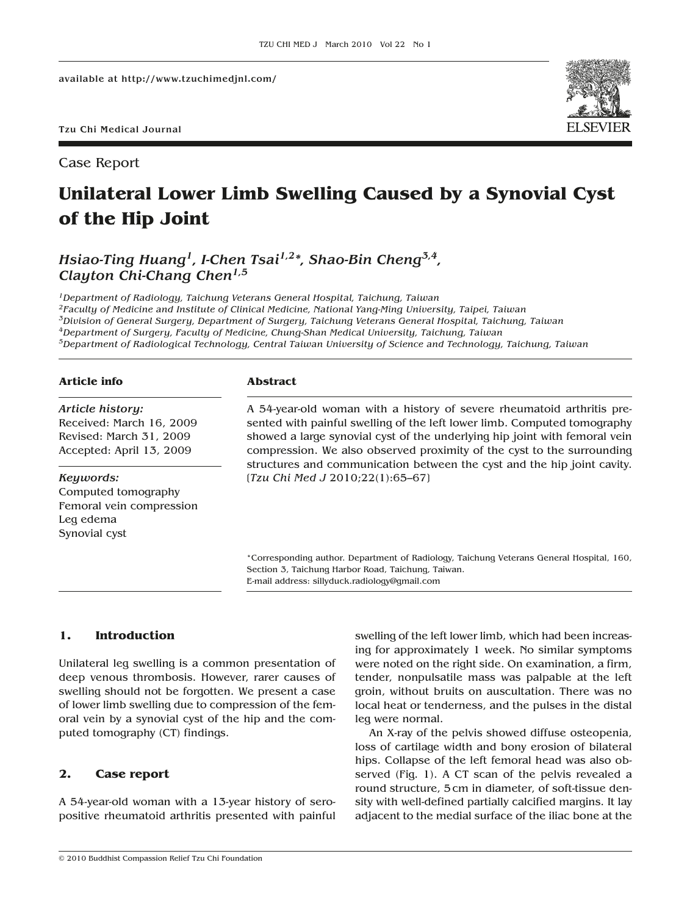Tzu Chi Medical Journal

Case Report

# **Unilateral Lower Limb Swelling Caused by a Synovial Cyst of the Hip Joint**

*Hsiao-Ting Huang1, I-Chen Tsai1,2\*, Shao-Bin Cheng3,4, Clayton Chi-Chang Chen1,5*

*1Department of Radiology, Taichung Veterans General Hospital, Taichung, Taiwan 2Faculty of Medicine and Institute of Clinical Medicine, National Yang-Ming University, Taipei, Taiwan 3Division of General Surgery, Department of Surgery, Taichung Veterans General Hospital, Taichung, Taiwan 4Department of Surgery, Faculty of Medicine, Chung-Shan Medical University, Taichung, Taiwan 5Department of Radiological Technology, Central Taiwan University of Science and Technology, Taichung, Taiwan*

### **Article info**

# *Article history:* Received: March 16, 2009 Revised: March 31, 2009 Accepted: April 13, 2009

#### *Keywords:*

Computed tomography Femoral vein compression Leg edema Synovial cyst

#### **Abstract**

A 54-year-old woman with a history of severe rheumatoid arthritis presented with painful swelling of the left lower limb. Computed tomography showed a large synovial cyst of the underlying hip joint with femoral vein compression. We also observed proximity of the cyst to the surrounding structures and communication between the cyst and the hip joint cavity. [*Tzu Chi Med J* 2010;22(1):65–67]

\*Corresponding author. Department of Radiology, Taichung Veterans General Hospital, 160, Section 3, Taichung Harbor Road, Taichung, Taiwan. E-mail address: sillyduck.radiology@gmail.com

## **1. Introduction**

Unilateral leg swelling is a common presentation of deep venous thrombosis. However, rarer causes of swelling should not be forgotten. We present a case of lower limb swelling due to compression of the femoral vein by a synovial cyst of the hip and the computed tomography (CT) findings.

# **2. Case report**

A 54-year-old woman with a 13-year history of seropositive rheumatoid arthritis presented with painful

© 2010 Buddhist Compassion Relief Tzu Chi Foundation

swelling of the left lower limb, which had been increasing for approximately 1 week. No similar symptoms were noted on the right side. On examination, a firm, tender, nonpulsatile mass was palpable at the left groin, without bruits on auscultation. There was no local heat or tenderness, and the pulses in the distal leg were normal.

An X-ray of the pelvis showed diffuse osteopenia, loss of cartilage width and bony erosion of bilateral hips. Collapse of the left femoral head was also observed (Fig. 1). A CT scan of the pelvis revealed a round structure, 5 cm in diameter, of soft-tissue density with well-defined partially calcified margins. It lay adjacent to the medial surface of the iliac bone at the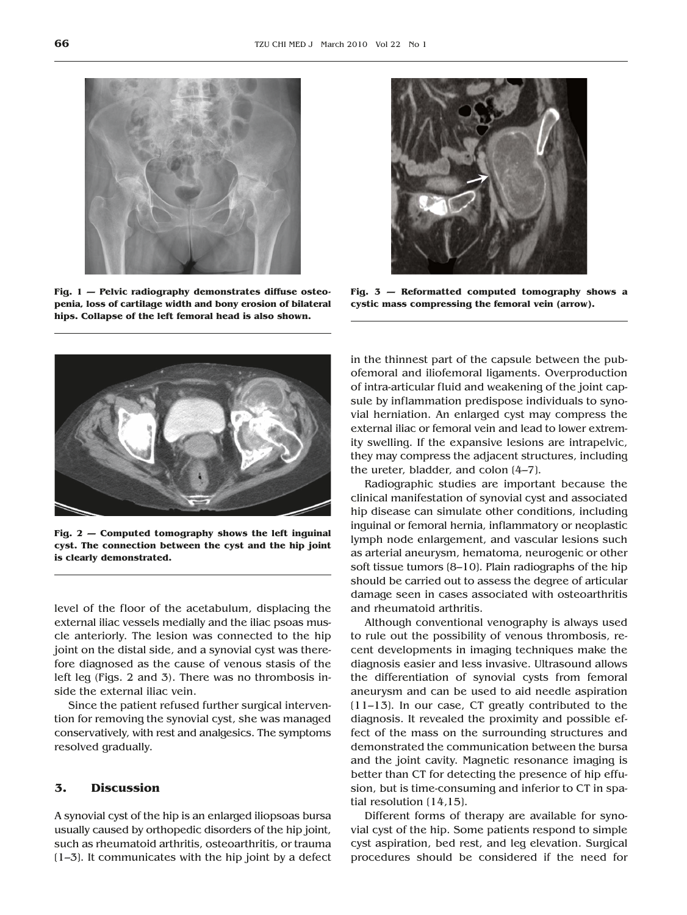

**Fig. 1 — Pelvic radiography demonstrates diffuse osteopenia, loss of cartilage width and bony erosion of bilateral hips. Collapse of the left femoral head is also shown.**



**Fig. 2 — Computed tomography shows the left inguinal cyst. The connection between the cyst and the hip joint is clearly demonstrated.**

level of the floor of the acetabulum, displacing the external iliac vessels medially and the iliac psoas muscle anteriorly. The lesion was connected to the hip joint on the distal side, and a synovial cyst was therefore diagnosed as the cause of venous stasis of the left leg (Figs. 2 and 3). There was no thrombosis inside the external iliac vein.

Since the patient refused further surgical intervention for removing the synovial cyst, she was managed conservatively, with rest and analgesics. The symptoms resolved gradually.

#### **3. Discussion**

A synovial cyst of the hip is an enlarged iliopsoas bursa usually caused by orthopedic disorders of the hip joint, such as rheumatoid arthritis, osteoarthritis, or trauma  $(1-3)$ . It communicates with the hip joint by a defect



**Fig. 3 — Reformatted computed tomography shows a cystic mass compressing the femoral vein (arrow).**

in the thinnest part of the capsule between the pubofemoral and iliofemoral ligaments. Overproduction of intra-articular fluid and weakening of the joint capsule by inflammation predispose individuals to synovial herniation. An enlarged cyst may compress the external iliac or femoral vein and lead to lower extremity swelling. If the expansive lesions are intrapelvic, they may compress the adjacent structures, including the ureter, bladder, and colon [4–7].

Radiographic studies are important because the clinical manifestation of synovial cyst and associated hip disease can simulate other conditions, including inguinal or femoral hernia, inflammatory or neoplastic lymph node enlargement, and vascular lesions such as arterial aneurysm, hematoma, neurogenic or other soft tissue tumors [8–10]. Plain radiographs of the hip should be carried out to assess the degree of articular damage seen in cases associated with osteoarthritis and rheumatoid arthritis.

Although conventional venography is always used to rule out the possibility of venous thrombosis, recent developments in imaging techniques make the diagnosis easier and less invasive. Ultrasound allows the differentiation of synovial cysts from femoral aneurysm and can be used to aid needle aspiration [11–13]. In our case, CT greatly contributed to the diagnosis. It revealed the proximity and possible effect of the mass on the surrounding structures and demonstrated the communication between the bursa and the joint cavity. Magnetic resonance imaging is better than CT for detecting the presence of hip effusion, but is time-consuming and inferior to CT in spatial resolution [14,15].

Different forms of therapy are available for synovial cyst of the hip. Some patients respond to simple cyst aspiration, bed rest, and leg elevation. Surgical procedures should be considered if the need for